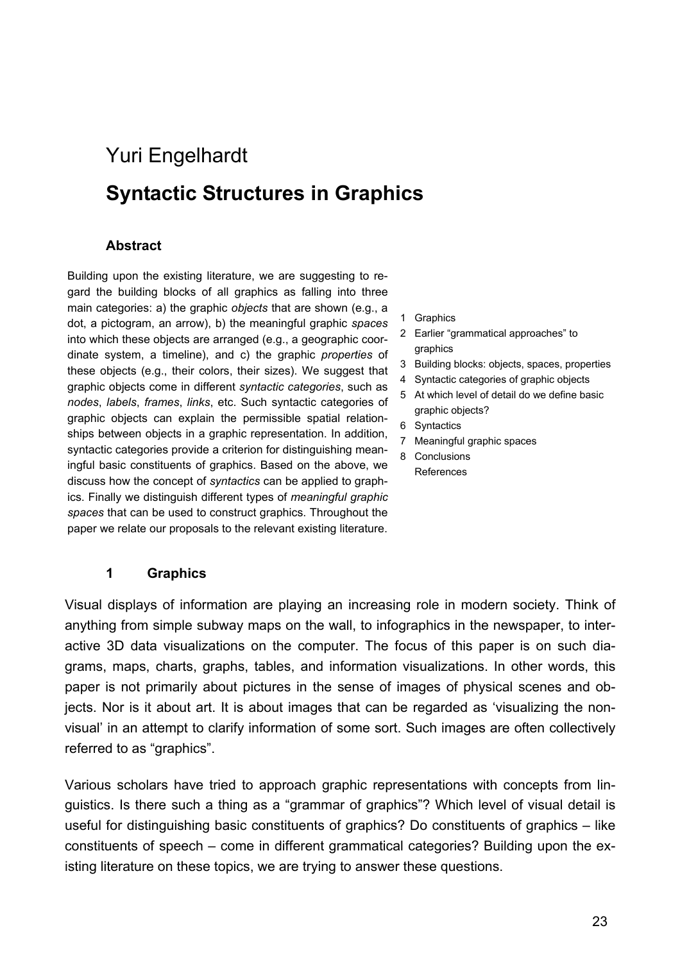# Yuri Engelhardt **Syntactic Structures in Graphics**

#### **Abstract**

Building upon the existing literature, we are suggesting to regard the building blocks of all graphics as falling into three main categories: a) the graphic *objects* that are shown (e.g., a dot, a pictogram, an arrow), b) the meaningful graphic *spaces* into which these objects are arranged (e.g., a geographic coordinate system, a timeline), and c) the graphic *properties* of these objects (e.g., their colors, their sizes). We suggest that graphic objects come in different *syntactic categories*, such as *nodes*, *labels*, *frames*, *links*, etc. Such syntactic categories of graphic objects can explain the permissible spatial relationships between objects in a graphic representation. In addition, syntactic categories provide a criterion for distinguishing meaningful basic constituents of graphics. Based on the above, we discuss how the concept of *syntactics* can be applied to graphics. Finally we distinguish different types of *meaningful graphic spaces* that can be used to construct graphics. Throughout the paper we relate our proposals to the relevant existing literature.

- 1 Graphics
- 2 Earlier "grammatical approaches" to graphics
- 3 Building blocks: objects, spaces, properties
- 4 Syntactic categories of graphic objects
- 5 At which level of detail do we define basic graphic objects?
- 6 Syntactics
- 7 Meaningful graphic spaces
- 8 Conclusions References

#### **1 Graphics**

Visual displays of information are playing an increasing role in modern society. Think of anything from simple subway maps on the wall, to infographics in the newspaper, to interactive 3D data visualizations on the computer. The focus of this paper is on such diagrams, maps, charts, graphs, tables, and information visualizations. In other words, this paper is not primarily about pictures in the sense of images of physical scenes and objects. Nor is it about art. It is about images that can be regarded as 'visualizing the nonvisual' in an attempt to clarify information of some sort. Such images are often collectively referred to as "graphics".

Various scholars have tried to approach graphic representations with concepts from linguistics. Is there such a thing as a "grammar of graphics"? Which level of visual detail is useful for distinguishing basic constituents of graphics? Do constituents of graphics – like constituents of speech – come in different grammatical categories? Building upon the existing literature on these topics, we are trying to answer these questions.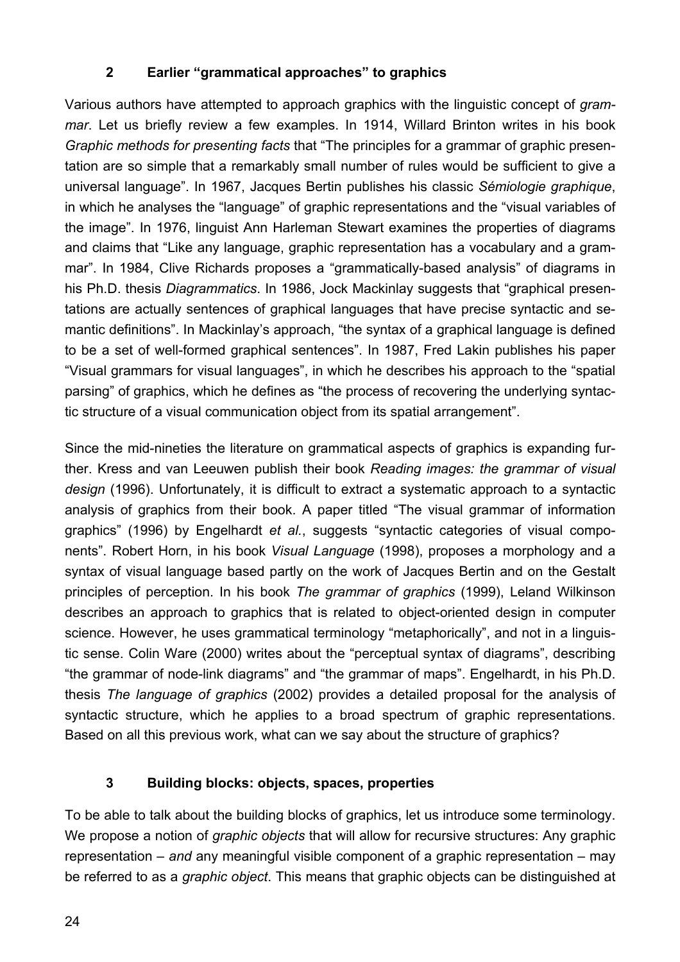## **2 Earlier "grammatical approaches" to graphics**

Various authors have attempted to approach graphics with the linguistic concept of *grammar*. Let us briefly review a few examples. In 1914, Willard Brinton writes in his book *Graphic methods for presenting facts* that "The principles for a grammar of graphic presentation are so simple that a remarkably small number of rules would be sufficient to give a universal language". In 1967, Jacques Bertin publishes his classic *Sémiologie graphique*, in which he analyses the "language" of graphic representations and the "visual variables of the image". In 1976, linguist Ann Harleman Stewart examines the properties of diagrams and claims that "Like any language, graphic representation has a vocabulary and a grammar". In 1984, Clive Richards proposes a "grammatically-based analysis" of diagrams in his Ph.D. thesis *Diagrammatics*. In 1986, Jock Mackinlay suggests that "graphical presentations are actually sentences of graphical languages that have precise syntactic and semantic definitions". In Mackinlay's approach, "the syntax of a graphical language is defined to be a set of well-formed graphical sentences". In 1987, Fred Lakin publishes his paper "Visual grammars for visual languages", in which he describes his approach to the "spatial parsing" of graphics, which he defines as "the process of recovering the underlying syntactic structure of a visual communication object from its spatial arrangement".

Since the mid-nineties the literature on grammatical aspects of graphics is expanding further. Kress and van Leeuwen publish their book *Reading images: the grammar of visual design* (1996). Unfortunately, it is difficult to extract a systematic approach to a syntactic analysis of graphics from their book. A paper titled "The visual grammar of information graphics" (1996) by Engelhardt *et al.*, suggests "syntactic categories of visual components". Robert Horn, in his book *Visual Language* (1998), proposes a morphology and a syntax of visual language based partly on the work of Jacques Bertin and on the Gestalt principles of perception. In his book *The grammar of graphics* (1999), Leland Wilkinson describes an approach to graphics that is related to object-oriented design in computer science. However, he uses grammatical terminology "metaphorically", and not in a linguistic sense. Colin Ware (2000) writes about the "perceptual syntax of diagrams", describing "the grammar of node-link diagrams" and "the grammar of maps". Engelhardt, in his Ph.D. thesis *The language of graphics* (2002) provides a detailed proposal for the analysis of syntactic structure, which he applies to a broad spectrum of graphic representations. Based on all this previous work, what can we say about the structure of graphics?

#### **3 Building blocks: objects, spaces, properties**

To be able to talk about the building blocks of graphics, let us introduce some terminology. We propose a notion of *graphic objects* that will allow for recursive structures: Any graphic representation – *and* any meaningful visible component of a graphic representation – may be referred to as a *graphic object*. This means that graphic objects can be distinguished at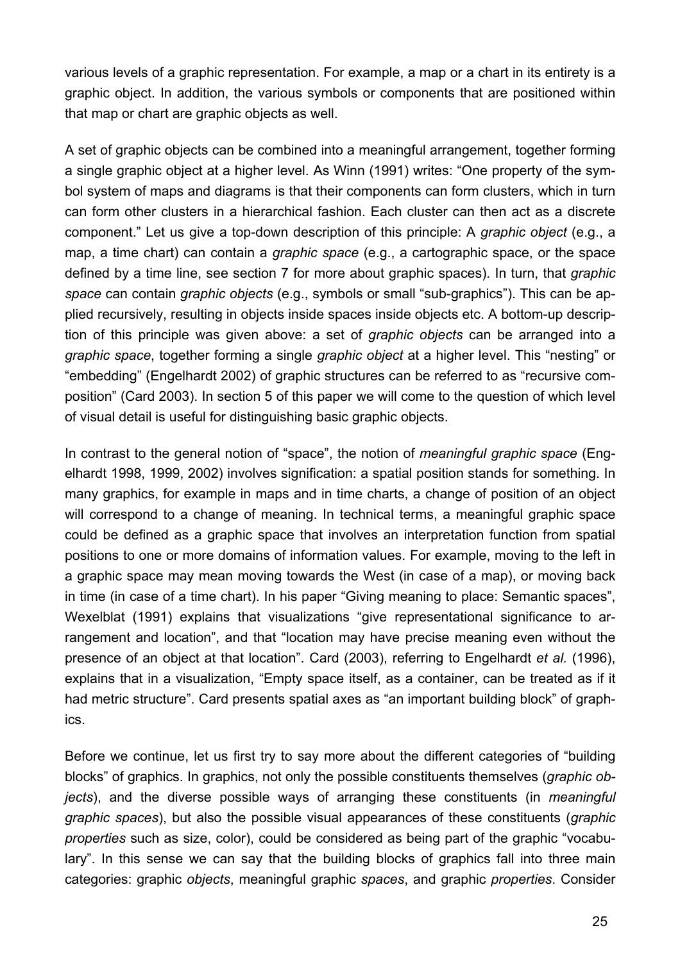various levels of a graphic representation. For example, a map or a chart in its entirety is a graphic object. In addition, the various symbols or components that are positioned within that map or chart are graphic objects as well.

A set of graphic objects can be combined into a meaningful arrangement, together forming a single graphic object at a higher level. As Winn (1991) writes: "One property of the symbol system of maps and diagrams is that their components can form clusters, which in turn can form other clusters in a hierarchical fashion. Each cluster can then act as a discrete component." Let us give a top-down description of this principle: A *graphic object* (e.g., a map, a time chart) can contain a *graphic space* (e.g., a cartographic space, or the space defined by a time line, see section 7 for more about graphic spaces). In turn, that *graphic space* can contain *graphic objects* (e.g., symbols or small "sub-graphics"). This can be applied recursively, resulting in objects inside spaces inside objects etc. A bottom-up description of this principle was given above: a set of *graphic objects* can be arranged into a *graphic space*, together forming a single *graphic object* at a higher level. This "nesting" or "embedding" (Engelhardt 2002) of graphic structures can be referred to as "recursive composition" (Card 2003). In section 5 of this paper we will come to the question of which level of visual detail is useful for distinguishing basic graphic objects.

In contrast to the general notion of "space", the notion of *meaningful graphic space* (Engelhardt 1998, 1999, 2002) involves signification: a spatial position stands for something. In many graphics, for example in maps and in time charts, a change of position of an object will correspond to a change of meaning. In technical terms, a meaningful graphic space could be defined as a graphic space that involves an interpretation function from spatial positions to one or more domains of information values. For example, moving to the left in a graphic space may mean moving towards the West (in case of a map), or moving back in time (in case of a time chart). In his paper "Giving meaning to place: Semantic spaces", Wexelblat (1991) explains that visualizations "give representational significance to arrangement and location", and that "location may have precise meaning even without the presence of an object at that location". Card (2003), referring to Engelhardt *et al.* (1996), explains that in a visualization, "Empty space itself, as a container, can be treated as if it had metric structure". Card presents spatial axes as "an important building block" of graphics.

Before we continue, let us first try to say more about the different categories of "building blocks" of graphics. In graphics, not only the possible constituents themselves (*graphic objects*), and the diverse possible ways of arranging these constituents (in *meaningful graphic spaces*), but also the possible visual appearances of these constituents (*graphic properties* such as size, color), could be considered as being part of the graphic "vocabulary". In this sense we can say that the building blocks of graphics fall into three main categories: graphic *objects*, meaningful graphic *spaces*, and graphic *properties*. Consider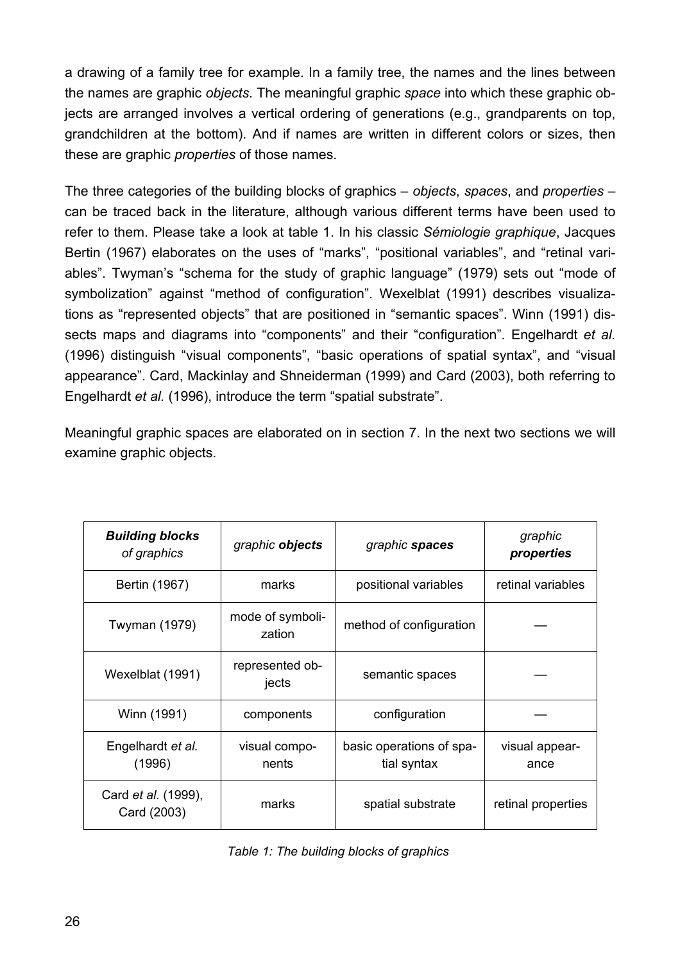a drawing of a family tree for example. In a family tree, the names and the lines between the names are graphic *objects*. The meaningful graphic *space* into which these graphic objects are arranged involves a vertical ordering of generations (e.g., grandparents on top, grandchildren at the bottom). And if names are written in different colors or sizes, then these are graphic *properties* of those names.

The three categories of the building blocks of graphics – *objects*, *spaces*, and *properties* – can be traced back in the literature, although various different terms have been used to refer to them. Please take a look at table 1. In his classic *Sémiologie graphique*, Jacques Bertin (1967) elaborates on the uses of "marks", "positional variables", and "retinal variables". Twyman's "schema for the study of graphic language" (1979) sets out "mode of symbolization" against "method of configuration". Wexelblat (1991) describes visualizations as "represented objects" that are positioned in "semantic spaces". Winn (1991) dissects maps and diagrams into "components" and their "configuration". Engelhardt *et al.* (1996) distinguish "visual components", "basic operations of spatial syntax", and "visual appearance". Card, Mackinlay and Shneiderman (1999) and Card (2003), both referring to Engelhardt *et al.* (1996), introduce the term "spatial substrate".

Meaningful graphic spaces are elaborated on in section 7. In the next two sections we will examine graphic objects.

| <b>Building blocks</b><br>of graphics     | graphic objects            | graphic spaces                          | graphic<br>properties  |
|-------------------------------------------|----------------------------|-----------------------------------------|------------------------|
| Bertin (1967)                             | marks                      | positional variables                    | retinal variables      |
| Twyman (1979)                             | mode of symboli-<br>zation | method of configuration                 |                        |
| Wexelblat (1991)                          | represented ob-<br>jects   | semantic spaces                         |                        |
| Winn (1991)                               | components                 | configuration                           |                        |
| Engelhardt et al.<br>(1996)               | visual compo-<br>nents     | basic operations of spa-<br>tial syntax | visual appear-<br>ance |
| Card <i>et al.</i> (1999),<br>Card (2003) | marks                      | spatial substrate                       | retinal properties     |

|  |  |  |  |  | Table 1: The building blocks of graphics |
|--|--|--|--|--|------------------------------------------|
|--|--|--|--|--|------------------------------------------|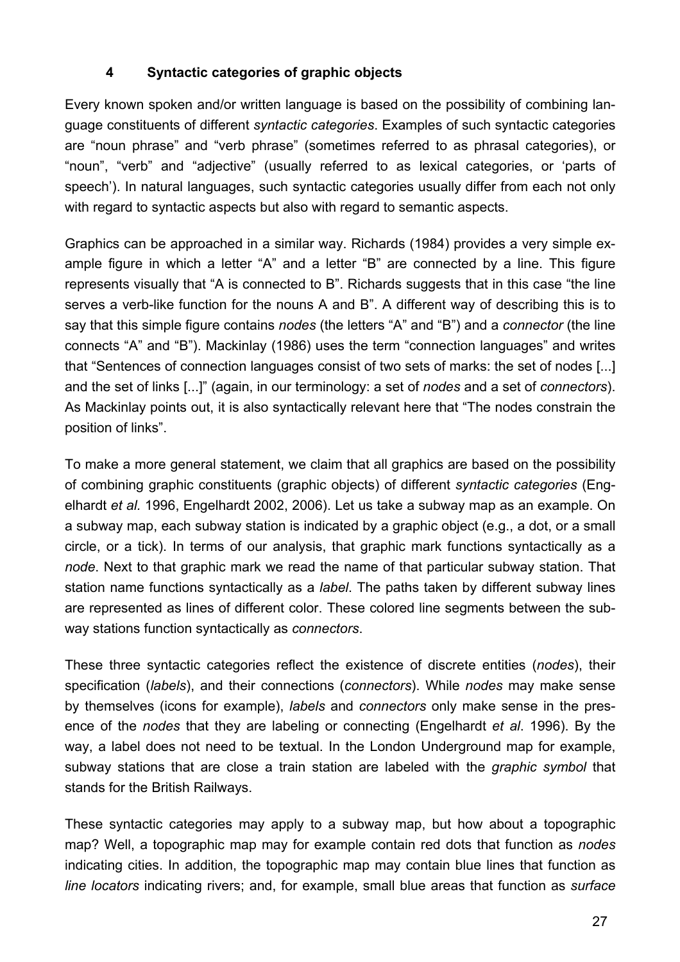## **4 Syntactic categories of graphic objects**

Every known spoken and/or written language is based on the possibility of combining language constituents of different *syntactic categories*. Examples of such syntactic categories are "noun phrase" and "verb phrase" (sometimes referred to as phrasal categories), or "noun", "verb" and "adjective" (usually referred to as lexical categories, or 'parts of speech'). In natural languages, such syntactic categories usually differ from each not only with regard to syntactic aspects but also with regard to semantic aspects.

Graphics can be approached in a similar way. Richards (1984) provides a very simple example figure in which a letter "A" and a letter "B" are connected by a line. This figure represents visually that "A is connected to B". Richards suggests that in this case "the line serves a verb-like function for the nouns A and B". A different way of describing this is to say that this simple figure contains *nodes* (the letters "A" and "B") and a *connector* (the line connects "A" and "B"). Mackinlay (1986) uses the term "connection languages" and writes that "Sentences of connection languages consist of two sets of marks: the set of nodes [...] and the set of links [...]" (again, in our terminology: a set of *nodes* and a set of *connectors*). As Mackinlay points out, it is also syntactically relevant here that "The nodes constrain the position of links".

To make a more general statement, we claim that all graphics are based on the possibility of combining graphic constituents (graphic objects) of different *syntactic categories* (Engelhardt *et al.* 1996, Engelhardt 2002, 2006). Let us take a subway map as an example. On a subway map, each subway station is indicated by a graphic object (e.g., a dot, or a small circle, or a tick). In terms of our analysis, that graphic mark functions syntactically as a *node*. Next to that graphic mark we read the name of that particular subway station. That station name functions syntactically as a *label*. The paths taken by different subway lines are represented as lines of different color. These colored line segments between the subway stations function syntactically as *connectors*.

These three syntactic categories reflect the existence of discrete entities (*nodes*), their specification (*labels*), and their connections (*connectors*). While *nodes* may make sense by themselves (icons for example), *labels* and *connectors* only make sense in the presence of the *nodes* that they are labeling or connecting (Engelhardt *et al*. 1996). By the way, a label does not need to be textual. In the London Underground map for example, subway stations that are close a train station are labeled with the *graphic symbol* that stands for the British Railways.

These syntactic categories may apply to a subway map, but how about a topographic map? Well, a topographic map may for example contain red dots that function as *nodes* indicating cities. In addition, the topographic map may contain blue lines that function as *line locators* indicating rivers; and, for example, small blue areas that function as *surface*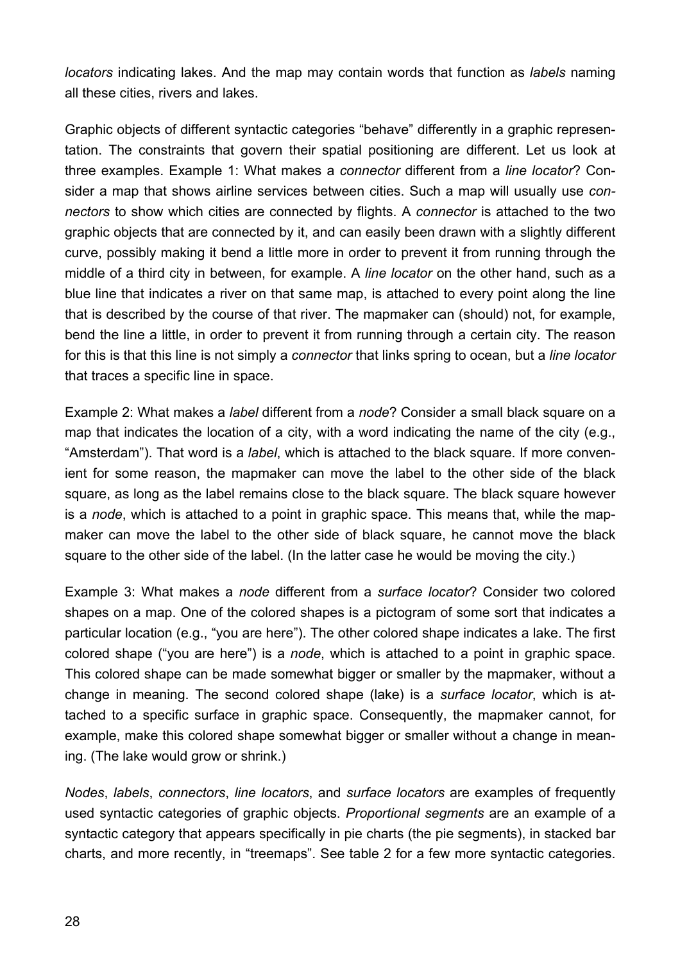*locators* indicating lakes. And the map may contain words that function as *labels* naming all these cities, rivers and lakes.

Graphic objects of different syntactic categories "behave" differently in a graphic representation. The constraints that govern their spatial positioning are different. Let us look at three examples. Example 1: What makes a *connector* different from a *line locator*? Consider a map that shows airline services between cities. Such a map will usually use *connectors* to show which cities are connected by flights. A *connector* is attached to the two graphic objects that are connected by it, and can easily been drawn with a slightly different curve, possibly making it bend a little more in order to prevent it from running through the middle of a third city in between, for example. A *line locator* on the other hand, such as a blue line that indicates a river on that same map, is attached to every point along the line that is described by the course of that river. The mapmaker can (should) not, for example, bend the line a little, in order to prevent it from running through a certain city. The reason for this is that this line is not simply a *connector* that links spring to ocean, but a *line locator* that traces a specific line in space.

Example 2: What makes a *label* different from a *node*? Consider a small black square on a map that indicates the location of a city, with a word indicating the name of the city (e.g., "Amsterdam"). That word is a *label*, which is attached to the black square. If more convenient for some reason, the mapmaker can move the label to the other side of the black square, as long as the label remains close to the black square. The black square however is a *node*, which is attached to a point in graphic space. This means that, while the mapmaker can move the label to the other side of black square, he cannot move the black square to the other side of the label. (In the latter case he would be moving the city.)

Example 3: What makes a *node* different from a *surface locator*? Consider two colored shapes on a map. One of the colored shapes is a pictogram of some sort that indicates a particular location (e.g., "you are here"). The other colored shape indicates a lake. The first colored shape ("you are here") is a *node*, which is attached to a point in graphic space. This colored shape can be made somewhat bigger or smaller by the mapmaker, without a change in meaning. The second colored shape (lake) is a *surface locator*, which is attached to a specific surface in graphic space. Consequently, the mapmaker cannot, for example, make this colored shape somewhat bigger or smaller without a change in meaning. (The lake would grow or shrink.)

*Nodes*, *labels*, *connectors*, *line locators*, and *surface locators* are examples of frequently used syntactic categories of graphic objects. *Proportional segments* are an example of a syntactic category that appears specifically in pie charts (the pie segments), in stacked bar charts, and more recently, in "treemaps". See table 2 for a few more syntactic categories.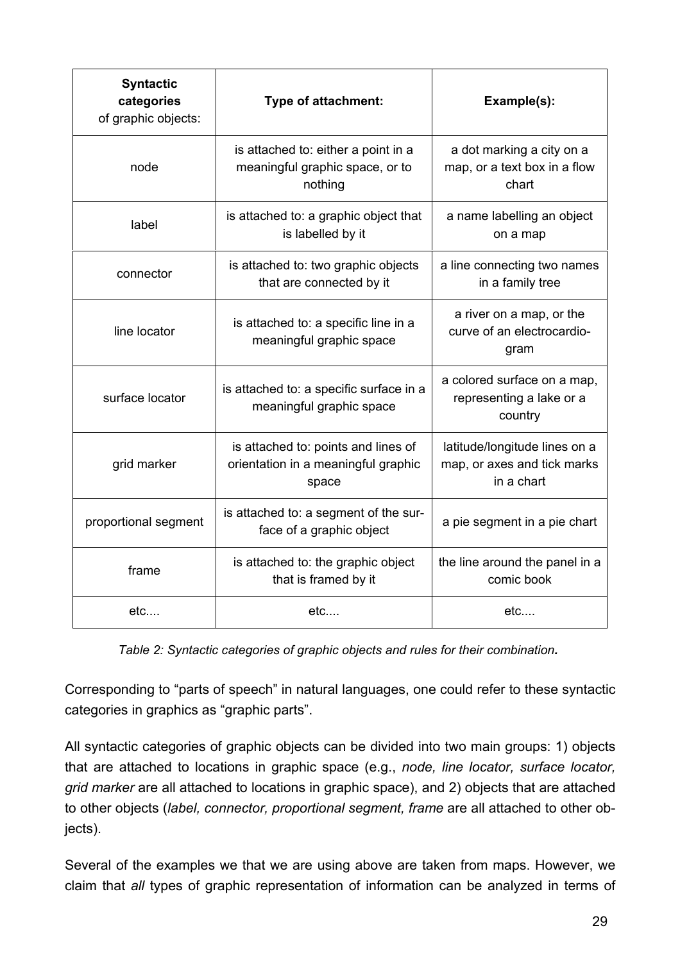| <b>Syntactic</b><br>categories<br>of graphic objects: | Type of attachment:                                                                 | Example(s):                                                                |
|-------------------------------------------------------|-------------------------------------------------------------------------------------|----------------------------------------------------------------------------|
| node                                                  | is attached to: either a point in a<br>meaningful graphic space, or to<br>nothing   | a dot marking a city on a<br>map, or a text box in a flow<br>chart         |
| label                                                 | is attached to: a graphic object that<br>is labelled by it                          | a name labelling an object<br>on a map                                     |
| connector                                             | is attached to: two graphic objects<br>that are connected by it                     | a line connecting two names<br>in a family tree                            |
| line locator                                          | is attached to: a specific line in a<br>meaningful graphic space                    | a river on a map, or the<br>curve of an electrocardio-<br>gram             |
| surface locator                                       | is attached to: a specific surface in a<br>meaningful graphic space                 | a colored surface on a map,<br>representing a lake or a<br>country         |
| grid marker                                           | is attached to: points and lines of<br>orientation in a meaningful graphic<br>space | latitude/longitude lines on a<br>map, or axes and tick marks<br>in a chart |
| proportional segment                                  | is attached to: a segment of the sur-<br>face of a graphic object                   | a pie segment in a pie chart                                               |
| frame                                                 | is attached to: the graphic object<br>that is framed by it                          | the line around the panel in a<br>comic book                               |
| etc                                                   | etc                                                                                 | etc                                                                        |

*Table 2: Syntactic categories of graphic objects and rules for their combination.*

Corresponding to "parts of speech" in natural languages, one could refer to these syntactic categories in graphics as "graphic parts".

All syntactic categories of graphic objects can be divided into two main groups: 1) objects that are attached to locations in graphic space (e.g., *node, line locator, surface locator, grid marker* are all attached to locations in graphic space), and 2) objects that are attached to other objects (*label, connector, proportional segment, frame* are all attached to other objects).

Several of the examples we that we are using above are taken from maps. However, we claim that *all* types of graphic representation of information can be analyzed in terms of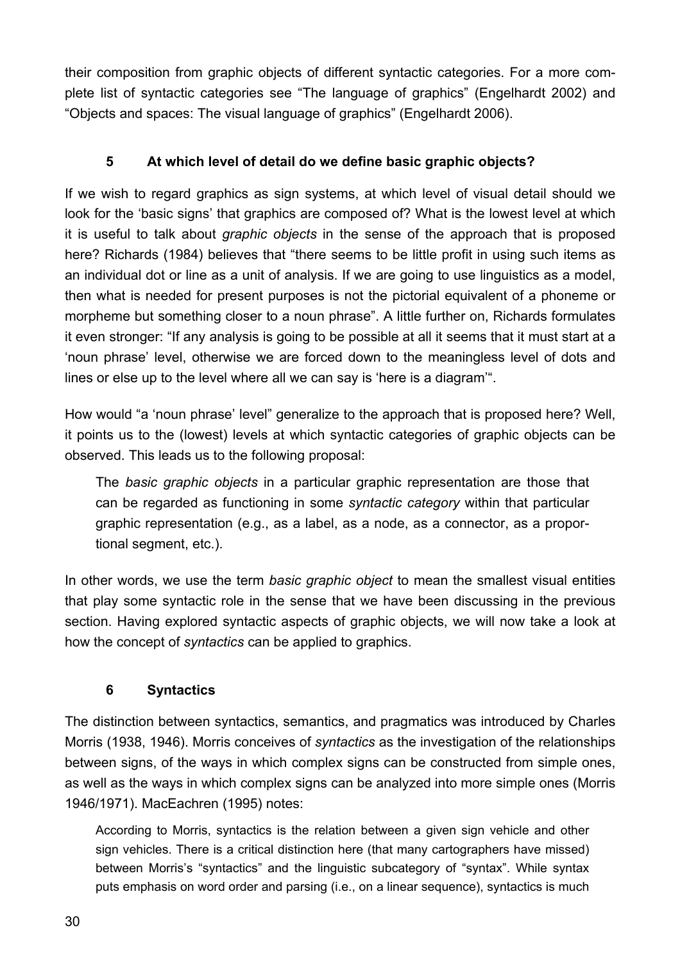their composition from graphic objects of different syntactic categories. For a more complete list of syntactic categories see "The language of graphics" (Engelhardt 2002) and "Objects and spaces: The visual language of graphics" (Engelhardt 2006).

## **5 At which level of detail do we define basic graphic objects?**

If we wish to regard graphics as sign systems, at which level of visual detail should we look for the 'basic signs' that graphics are composed of? What is the lowest level at which it is useful to talk about *graphic objects* in the sense of the approach that is proposed here? Richards (1984) believes that "there seems to be little profit in using such items as an individual dot or line as a unit of analysis. If we are going to use linguistics as a model, then what is needed for present purposes is not the pictorial equivalent of a phoneme or morpheme but something closer to a noun phrase". A little further on, Richards formulates it even stronger: "If any analysis is going to be possible at all it seems that it must start at a 'noun phrase' level, otherwise we are forced down to the meaningless level of dots and lines or else up to the level where all we can say is 'here is a diagram'".

How would "a 'noun phrase' level" generalize to the approach that is proposed here? Well, it points us to the (lowest) levels at which syntactic categories of graphic objects can be observed. This leads us to the following proposal:

The *basic graphic objects* in a particular graphic representation are those that can be regarded as functioning in some *syntactic category* within that particular graphic representation (e.g., as a label, as a node, as a connector, as a proportional segment, etc.).

In other words, we use the term *basic graphic object* to mean the smallest visual entities that play some syntactic role in the sense that we have been discussing in the previous section. Having explored syntactic aspects of graphic objects, we will now take a look at how the concept of *syntactics* can be applied to graphics.

## **6 Syntactics**

The distinction between syntactics, semantics, and pragmatics was introduced by Charles Morris (1938, 1946). Morris conceives of *syntactics* as the investigation of the relationships between signs, of the ways in which complex signs can be constructed from simple ones, as well as the ways in which complex signs can be analyzed into more simple ones (Morris 1946/1971). MacEachren (1995) notes:

According to Morris, syntactics is the relation between a given sign vehicle and other sign vehicles. There is a critical distinction here (that many cartographers have missed) between Morris's "syntactics" and the linguistic subcategory of "syntax". While syntax puts emphasis on word order and parsing (i.e., on a linear sequence), syntactics is much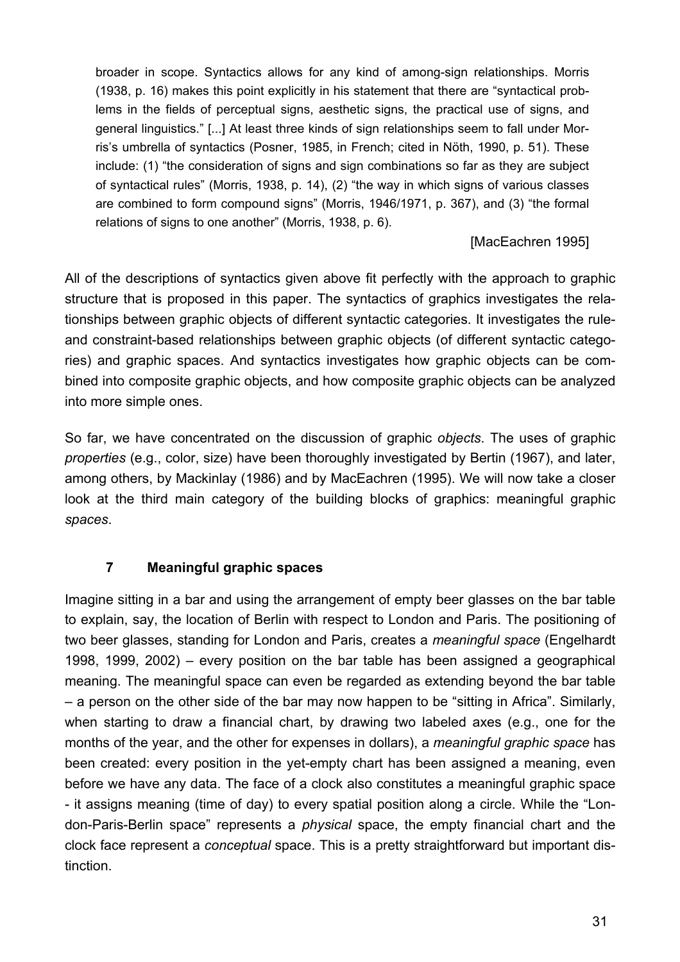broader in scope. Syntactics allows for any kind of among-sign relationships. Morris (1938, p. 16) makes this point explicitly in his statement that there are "syntactical problems in the fields of perceptual signs, aesthetic signs, the practical use of signs, and general linguistics." [...] At least three kinds of sign relationships seem to fall under Morris's umbrella of syntactics (Posner, 1985, in French; cited in Nöth, 1990, p. 51). These include: (1) "the consideration of signs and sign combinations so far as they are subject of syntactical rules" (Morris, 1938, p. 14), (2) "the way in which signs of various classes are combined to form compound signs" (Morris, 1946/1971, p. 367), and (3) "the formal relations of signs to one another" (Morris, 1938, p. 6).

#### [MacEachren 1995]

All of the descriptions of syntactics given above fit perfectly with the approach to graphic structure that is proposed in this paper. The syntactics of graphics investigates the relationships between graphic objects of different syntactic categories. It investigates the ruleand constraint-based relationships between graphic objects (of different syntactic categories) and graphic spaces. And syntactics investigates how graphic objects can be combined into composite graphic objects, and how composite graphic objects can be analyzed into more simple ones.

So far, we have concentrated on the discussion of graphic *objects*. The uses of graphic *properties* (e.g., color, size) have been thoroughly investigated by Bertin (1967), and later, among others, by Mackinlay (1986) and by MacEachren (1995). We will now take a closer look at the third main category of the building blocks of graphics: meaningful graphic *spaces*.

## **7 Meaningful graphic spaces**

Imagine sitting in a bar and using the arrangement of empty beer glasses on the bar table to explain, say, the location of Berlin with respect to London and Paris. The positioning of two beer glasses, standing for London and Paris, creates a *meaningful space* (Engelhardt 1998, 1999, 2002) – every position on the bar table has been assigned a geographical meaning. The meaningful space can even be regarded as extending beyond the bar table – a person on the other side of the bar may now happen to be "sitting in Africa". Similarly, when starting to draw a financial chart, by drawing two labeled axes (e.g., one for the months of the year, and the other for expenses in dollars), a *meaningful graphic space* has been created: every position in the yet-empty chart has been assigned a meaning, even before we have any data. The face of a clock also constitutes a meaningful graphic space - it assigns meaning (time of day) to every spatial position along a circle. While the "London-Paris-Berlin space" represents a *physical* space, the empty financial chart and the clock face represent a *conceptual* space. This is a pretty straightforward but important distinction.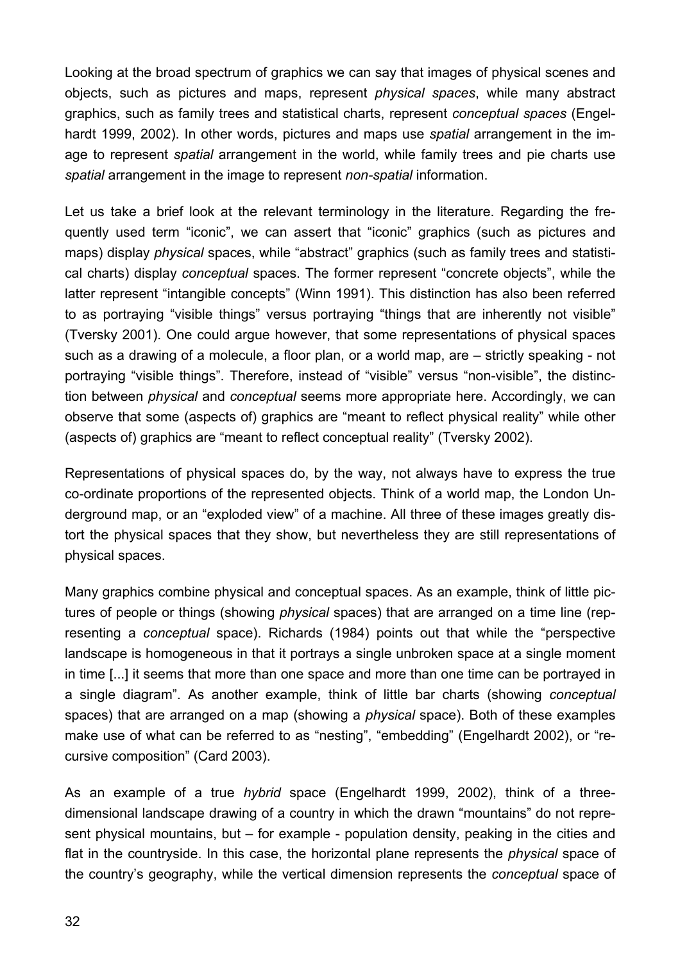Looking at the broad spectrum of graphics we can say that images of physical scenes and objects, such as pictures and maps, represent *physical spaces*, while many abstract graphics, such as family trees and statistical charts, represent *conceptual spaces* (Engelhardt 1999, 2002). In other words, pictures and maps use *spatial* arrangement in the image to represent *spatial* arrangement in the world, while family trees and pie charts use *spatial* arrangement in the image to represent *non-spatial* information.

Let us take a brief look at the relevant terminology in the literature. Regarding the frequently used term "iconic", we can assert that "iconic" graphics (such as pictures and maps) display *physical* spaces, while "abstract" graphics (such as family trees and statistical charts) display *conceptual* spaces. The former represent "concrete objects", while the latter represent "intangible concepts" (Winn 1991). This distinction has also been referred to as portraying "visible things" versus portraying "things that are inherently not visible" (Tversky 2001). One could argue however, that some representations of physical spaces such as a drawing of a molecule, a floor plan, or a world map, are – strictly speaking - not portraying "visible things". Therefore, instead of "visible" versus "non-visible", the distinction between *physical* and *conceptual* seems more appropriate here. Accordingly, we can observe that some (aspects of) graphics are "meant to reflect physical reality" while other (aspects of) graphics are "meant to reflect conceptual reality" (Tversky 2002).

Representations of physical spaces do, by the way, not always have to express the true co-ordinate proportions of the represented objects. Think of a world map, the London Underground map, or an "exploded view" of a machine. All three of these images greatly distort the physical spaces that they show, but nevertheless they are still representations of physical spaces.

Many graphics combine physical and conceptual spaces. As an example, think of little pictures of people or things (showing *physical* spaces) that are arranged on a time line (representing a *conceptual* space). Richards (1984) points out that while the "perspective landscape is homogeneous in that it portrays a single unbroken space at a single moment in time [...] it seems that more than one space and more than one time can be portrayed in a single diagram". As another example, think of little bar charts (showing *conceptual* spaces) that are arranged on a map (showing a *physical* space). Both of these examples make use of what can be referred to as "nesting", "embedding" (Engelhardt 2002), or "recursive composition" (Card 2003).

As an example of a true *hybrid* space (Engelhardt 1999, 2002), think of a threedimensional landscape drawing of a country in which the drawn "mountains" do not represent physical mountains, but – for example - population density, peaking in the cities and flat in the countryside. In this case, the horizontal plane represents the *physical* space of the country's geography, while the vertical dimension represents the *conceptual* space of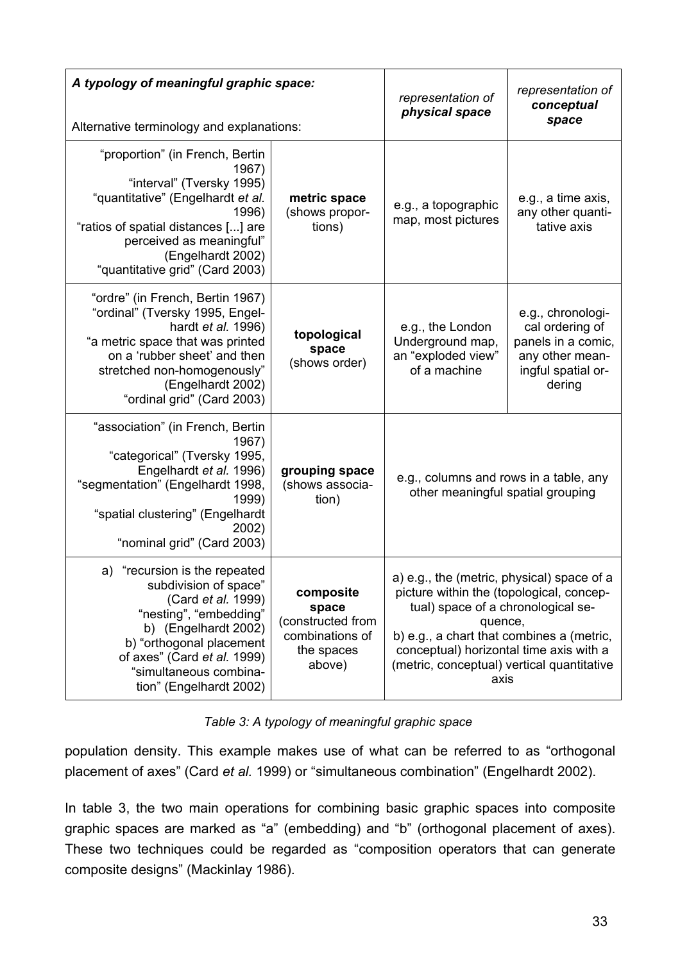| A typology of meaningful graphic space:<br>Alternative terminology and explanations:                                                                                                                                                            |                                                                                   | representation of<br>physical space                                                                                                                                                                                                                                                   | representation of<br>conceptual<br>space                                                                      |
|-------------------------------------------------------------------------------------------------------------------------------------------------------------------------------------------------------------------------------------------------|-----------------------------------------------------------------------------------|---------------------------------------------------------------------------------------------------------------------------------------------------------------------------------------------------------------------------------------------------------------------------------------|---------------------------------------------------------------------------------------------------------------|
| "proportion" (in French, Bertin<br>1967)<br>"interval" (Tversky 1995)<br>"quantitative" (Engelhardt et al.<br>1996)<br>"ratios of spatial distances [] are<br>perceived as meaningful"<br>(Engelhardt 2002)<br>"quantitative grid" (Card 2003)  | metric space<br>(shows propor-<br>tions)                                          | e.g., a topographic<br>map, most pictures                                                                                                                                                                                                                                             | e.g., a time axis,<br>any other quanti-<br>tative axis                                                        |
| "ordre" (in French, Bertin 1967)<br>"ordinal" (Tversky 1995, Engel-<br>hardt et al. 1996)<br>"a metric space that was printed<br>on a 'rubber sheet' and then<br>stretched non-homogenously"<br>(Engelhardt 2002)<br>"ordinal grid" (Card 2003) | topological<br>space<br>(shows order)                                             | e.g., the London<br>Underground map,<br>an "exploded view"<br>of a machine                                                                                                                                                                                                            | e.g., chronologi-<br>cal ordering of<br>panels in a comic,<br>any other mean-<br>ingful spatial or-<br>dering |
| "association" (in French, Bertin<br>1967)<br>"categorical" (Tversky 1995,<br>Engelhardt et al. 1996)<br>"segmentation" (Engelhardt 1998,<br>1999)<br>"spatial clustering" (Engelhardt<br>2002)<br>"nominal grid" (Card 2003)                    | grouping space<br>(shows associa-<br>tion)                                        | e.g., columns and rows in a table, any<br>other meaningful spatial grouping                                                                                                                                                                                                           |                                                                                                               |
| a) "recursion is the repeated<br>subdivision of space"<br>(Card et al. 1999)<br>"nesting", "embedding"<br>b) (Engelhardt 2002)<br>b) "orthogonal placement<br>of axes" (Card et al. 1999)<br>"simultaneous combina-<br>tion" (Engelhardt 2002)  | composite<br>space<br>constructed from<br>combinations of<br>the spaces<br>above) | a) e.g., the (metric, physical) space of a<br>picture within the (topological, concep-<br>tual) space of a chronological se-<br>quence,<br>b) e.g., a chart that combines a (metric,<br>conceptual) horizontal time axis with a<br>(metric, conceptual) vertical quantitative<br>axis |                                                                                                               |

*Table 3: A typology of meaningful graphic space*

population density. This example makes use of what can be referred to as "orthogonal placement of axes" (Card *et al.* 1999) or "simultaneous combination" (Engelhardt 2002).

In table 3, the two main operations for combining basic graphic spaces into composite graphic spaces are marked as "a" (embedding) and "b" (orthogonal placement of axes). These two techniques could be regarded as "composition operators that can generate composite designs" (Mackinlay 1986).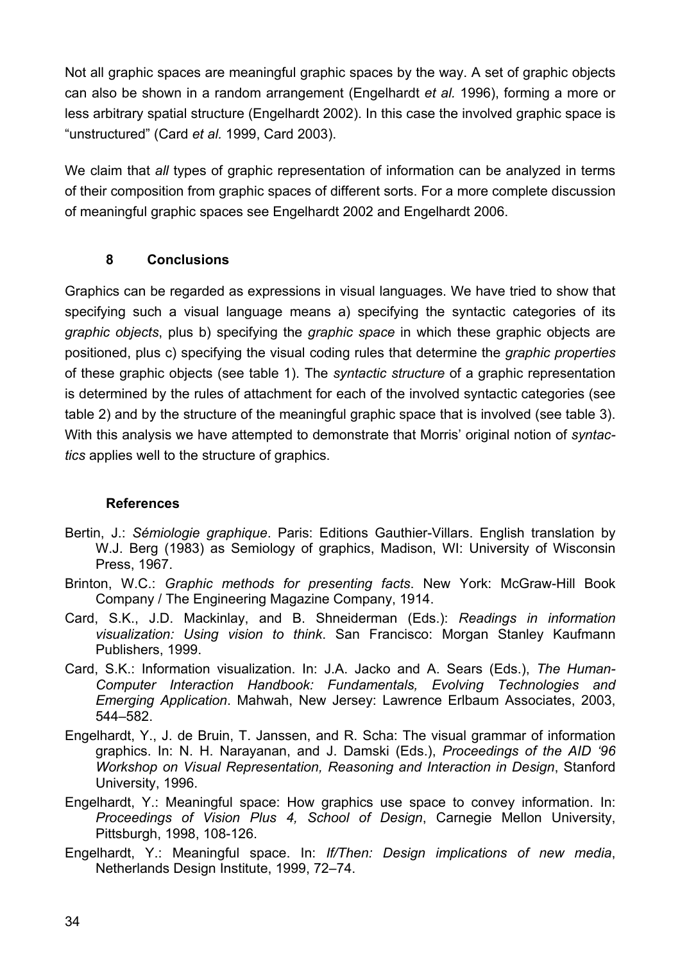Not all graphic spaces are meaningful graphic spaces by the way. A set of graphic objects can also be shown in a random arrangement (Engelhardt *et al.* 1996), forming a more or less arbitrary spatial structure (Engelhardt 2002). In this case the involved graphic space is "unstructured" (Card *et al.* 1999, Card 2003).

We claim that *all* types of graphic representation of information can be analyzed in terms of their composition from graphic spaces of different sorts. For a more complete discussion of meaningful graphic spaces see Engelhardt 2002 and Engelhardt 2006.

#### **8 Conclusions**

Graphics can be regarded as expressions in visual languages. We have tried to show that specifying such a visual language means a) specifying the syntactic categories of its *graphic objects*, plus b) specifying the *graphic space* in which these graphic objects are positioned, plus c) specifying the visual coding rules that determine the *graphic properties* of these graphic objects (see table 1). The *syntactic structure* of a graphic representation is determined by the rules of attachment for each of the involved syntactic categories (see table 2) and by the structure of the meaningful graphic space that is involved (see table 3). With this analysis we have attempted to demonstrate that Morris' original notion of *syntactics* applies well to the structure of graphics.

#### **References**

- Bertin, J.: *Sémiologie graphique*. Paris: Editions Gauthier-Villars. English translation by W.J. Berg (1983) as Semiology of graphics, Madison, WI: University of Wisconsin Press, 1967.
- Brinton, W.C.: *Graphic methods for presenting facts*. New York: McGraw-Hill Book Company / The Engineering Magazine Company, 1914.
- Card, S.K., J.D. Mackinlay, and B. Shneiderman (Eds.): *Readings in information visualization: Using vision to think*. San Francisco: Morgan Stanley Kaufmann Publishers, 1999.
- Card, S.K.: Information visualization. In: J.A. Jacko and A. Sears (Eds.), *The Human-Computer Interaction Handbook: Fundamentals, Evolving Technologies and Emerging Application*. Mahwah, New Jersey: Lawrence Erlbaum Associates, 2003, 544–582.
- Engelhardt, Y., J. de Bruin, T. Janssen, and R. Scha: The visual grammar of information graphics. In: N. H. Narayanan, and J. Damski (Eds.), *Proceedings of the AID '96 Workshop on Visual Representation, Reasoning and Interaction in Design*, Stanford University, 1996.
- Engelhardt, Y.: Meaningful space: How graphics use space to convey information. In: *Proceedings of Vision Plus 4, School of Design*, Carnegie Mellon University, Pittsburgh, 1998, 108-126.
- Engelhardt, Y.: Meaningful space. In: *If/Then: Design implications of new media*, Netherlands Design Institute, 1999, 72–74.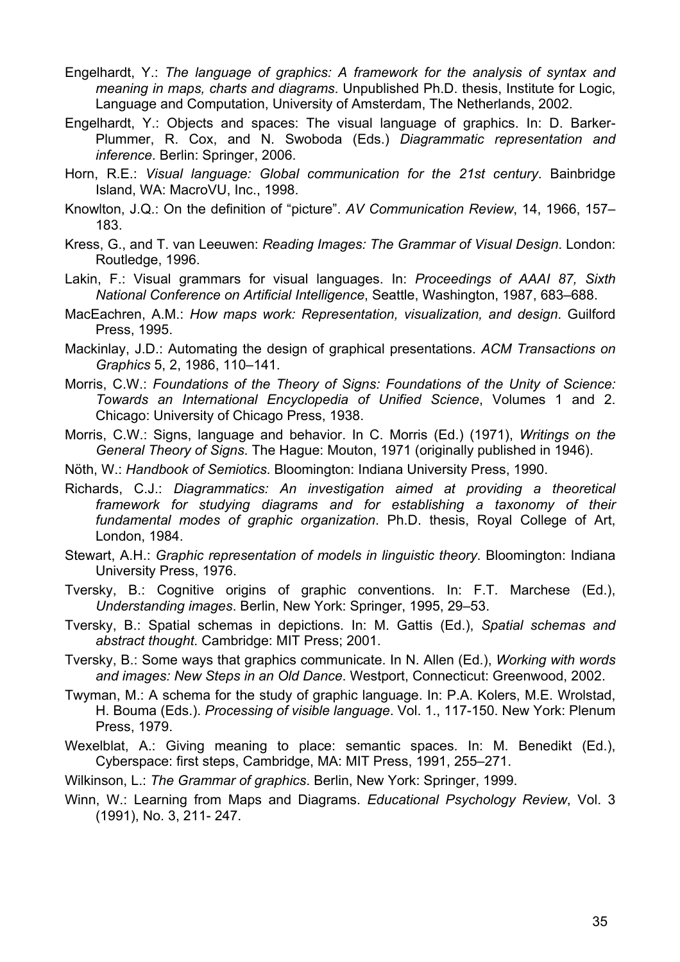- Engelhardt, Y.: *The language of graphics: A framework for the analysis of syntax and meaning in maps, charts and diagrams*. Unpublished Ph.D. thesis, Institute for Logic, Language and Computation, University of Amsterdam, The Netherlands, 2002.
- Engelhardt, Y.: Objects and spaces: The visual language of graphics. In: D. Barker-Plummer, R. Cox, and N. Swoboda (Eds.) *Diagrammatic representation and inference*. Berlin: Springer, 2006.
- Horn, R.E.: *Visual language: Global communication for the 21st century*. Bainbridge Island, WA: MacroVU, Inc., 1998.
- Knowlton, J.Q.: On the definition of "picture". *AV Communication Review*, 14, 1966, 157– 183.
- Kress, G., and T. van Leeuwen: *Reading Images: The Grammar of Visual Design*. London: Routledge, 1996.
- Lakin, F.: Visual grammars for visual languages. In: *Proceedings of AAAI 87, Sixth National Conference on Artificial Intelligence*, Seattle, Washington, 1987, 683–688.
- MacEachren, A.M.: *How maps work: Representation, visualization, and design*. Guilford Press, 1995.
- Mackinlay, J.D.: Automating the design of graphical presentations. *ACM Transactions on Graphics* 5, 2, 1986, 110–141.
- Morris, C.W.: *Foundations of the Theory of Signs: Foundations of the Unity of Science: Towards an International Encyclopedia of Unified Science*, Volumes 1 and 2. Chicago: University of Chicago Press, 1938.
- Morris, C.W.: Signs, language and behavior. In C. Morris (Ed.) (1971), *Writings on the General Theory of Signs*. The Hague: Mouton, 1971 (originally published in 1946).
- Nöth, W.: *Handbook of Semiotics*. Bloomington: Indiana University Press, 1990.
- Richards, C.J.: *Diagrammatics: An investigation aimed at providing a theoretical framework for studying diagrams and for establishing a taxonomy of their fundamental modes of graphic organization*. Ph.D. thesis, Royal College of Art, London, 1984.
- Stewart, A.H.: *Graphic representation of models in linguistic theory*. Bloomington: Indiana University Press, 1976.
- Tversky, B.: Cognitive origins of graphic conventions. In: F.T. Marchese (Ed.), *Understanding images*. Berlin, New York: Springer, 1995, 29–53.
- Tversky, B.: Spatial schemas in depictions. In: M. Gattis (Ed.), *Spatial schemas and abstract thought*. Cambridge: MIT Press; 2001.
- Tversky, B.: Some ways that graphics communicate. In N. Allen (Ed.), *Working with words and images: New Steps in an Old Dance*. Westport, Connecticut: Greenwood, 2002.
- Twyman, M.: A schema for the study of graphic language. In: P.A. Kolers, M.E. Wrolstad, H. Bouma (Eds.). *Processing of visible language*. Vol. 1., 117-150. New York: Plenum Press, 1979.
- Wexelblat, A.: Giving meaning to place: semantic spaces. In: M. Benedikt (Ed.), Cyberspace: first steps, Cambridge, MA: MIT Press, 1991, 255–271.
- Wilkinson, L.: *The Grammar of graphics*. Berlin, New York: Springer, 1999.
- Winn, W.: Learning from Maps and Diagrams. *Educational Psychology Review*, Vol. 3 (1991), No. 3, 211- 247.